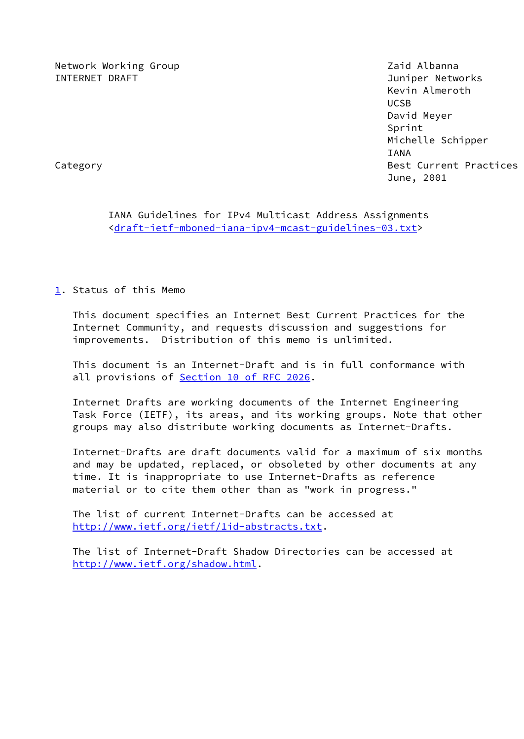Network Working Group **Network Working Albanna** INTERNET DRAFT Juniper Networks

 Kevin Almeroth UCSB David Meyer Sprint Michelle Schipper IANA Category **Best Current Practices** June, 2001

 IANA Guidelines for IPv4 Multicast Address Assignments <[draft-ietf-mboned-iana-ipv4-mcast-guidelines-03.txt](https://datatracker.ietf.org/doc/pdf/draft-ietf-mboned-iana-ipv4-mcast-guidelines-03.txt)>

<span id="page-0-0"></span>[1](#page-0-0). Status of this Memo

 This document specifies an Internet Best Current Practices for the Internet Community, and requests discussion and suggestions for improvements. Distribution of this memo is unlimited.

 This document is an Internet-Draft and is in full conformance with all provisions of **Section [10 of RFC 2026](https://datatracker.ietf.org/doc/pdf/rfc2026#section-10).** 

 Internet Drafts are working documents of the Internet Engineering Task Force (IETF), its areas, and its working groups. Note that other groups may also distribute working documents as Internet-Drafts.

 Internet-Drafts are draft documents valid for a maximum of six months and may be updated, replaced, or obsoleted by other documents at any time. It is inappropriate to use Internet-Drafts as reference material or to cite them other than as "work in progress."

 The list of current Internet-Drafts can be accessed at <http://www.ietf.org/ietf/1id-abstracts.txt>.

 The list of Internet-Draft Shadow Directories can be accessed at <http://www.ietf.org/shadow.html>.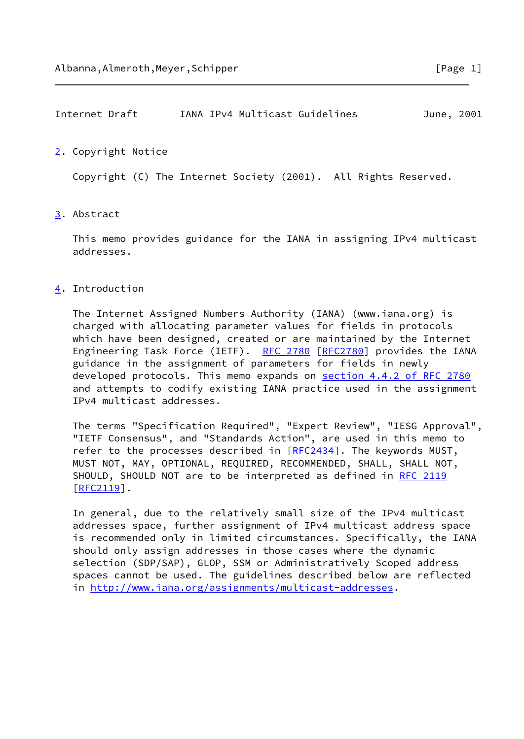# Internet Draft IANA IPv4 Multicast Guidelines June, 2001

#### <span id="page-1-0"></span>[2](#page-1-0). Copyright Notice

Copyright (C) The Internet Society (2001). All Rights Reserved.

## <span id="page-1-1"></span>[3](#page-1-1). Abstract

 This memo provides guidance for the IANA in assigning IPv4 multicast addresses.

## <span id="page-1-2"></span>[4](#page-1-2). Introduction

 The Internet Assigned Numbers Authority (IANA) (www.iana.org) is charged with allocating parameter values for fields in protocols which have been designed, created or are maintained by the Internet Engineering Task Force (IETF). [RFC 2780](https://datatracker.ietf.org/doc/pdf/rfc2780) [\[RFC2780](https://datatracker.ietf.org/doc/pdf/rfc2780)] provides the IANA guidance in the assignment of parameters for fields in newly developed protocols. This memo expands on section [4.4.2 of RFC 2780](https://datatracker.ietf.org/doc/pdf/rfc2780#section-4.4.2) and attempts to codify existing IANA practice used in the assignment IPv4 multicast addresses.

 The terms "Specification Required", "Expert Review", "IESG Approval", "IETF Consensus", and "Standards Action", are used in this memo to refer to the processes described in  $[RFC2434]$  $[RFC2434]$ . The keywords MUST, MUST NOT, MAY, OPTIONAL, REQUIRED, RECOMMENDED, SHALL, SHALL NOT, SHOULD, SHOULD NOT are to be interpreted as defined in [RFC 2119](https://datatracker.ietf.org/doc/pdf/rfc2119) [\[RFC2119](https://datatracker.ietf.org/doc/pdf/rfc2119)].

 In general, due to the relatively small size of the IPv4 multicast addresses space, further assignment of IPv4 multicast address space is recommended only in limited circumstances. Specifically, the IANA should only assign addresses in those cases where the dynamic selection (SDP/SAP), GLOP, SSM or Administratively Scoped address spaces cannot be used. The guidelines described below are reflected in <http://www.iana.org/assignments/multicast-addresses>.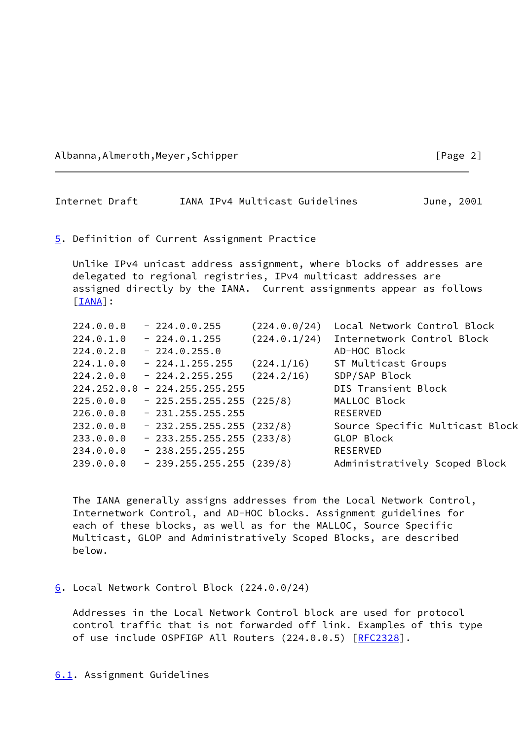Albanna,Almeroth,Meyer,Schipper [Page 2]

## Internet Draft IANA IPv4 Multicast Guidelines June, 2001

#### <span id="page-2-0"></span>[5](#page-2-0). Definition of Current Assignment Practice

 Unlike IPv4 unicast address assignment, where blocks of addresses are delegated to regional registries, IPv4 multicast addresses are assigned directly by the IANA. Current assignments appear as follows [\[IANA](#page-8-0)]:

| 224.0.0.0 | $-224.0.0.255$                  | (224.0.0/24) | Local Network Control Block     |
|-----------|---------------------------------|--------------|---------------------------------|
| 224.0.1.0 | $-224.0.1.255$                  | (224.0.1/24) | Internetwork Control Block      |
| 224.0.2.0 | $-224.0.255.0$                  |              | AD-HOC Block                    |
| 224.1.0.0 | $-224.1.255.255$                | (224.1/16)   | ST Multicast Groups             |
| 224.2.0.0 | $-224.2.255.255$                | (224.2/16)   | SDP/SAP Block                   |
|           | $224.252.0.0 - 224.255.255.255$ |              | DIS Transient Block             |
| 225.0.0.0 | $-225.255.255.255(225/8)$       |              | MALLOC Block                    |
| 226.0.0.0 | $-231.255.255.255$              |              | <b>RESERVED</b>                 |
| 232.0.0.0 | $-232.255.255.255(232/8)$       |              | Source Specific Multicast Block |
| 233.0.0.0 | $-233.255.255.255(233/8)$       |              | GLOP Block                      |
| 234.0.0.0 | $-238.255.255.255$              |              | <b>RESERVED</b>                 |
| 239.0.0.0 | $-239.255.255.255(239/8)$       |              | Administratively Scoped Block   |
|           |                                 |              |                                 |

 The IANA generally assigns addresses from the Local Network Control, Internetwork Control, and AD-HOC blocks. Assignment guidelines for each of these blocks, as well as for the MALLOC, Source Specific Multicast, GLOP and Administratively Scoped Blocks, are described below.

#### <span id="page-2-1"></span>[6](#page-2-1). Local Network Control Block (224.0.0/24)

<span id="page-2-2"></span> Addresses in the Local Network Control block are used for protocol control traffic that is not forwarded off link. Examples of this type of use include OSPFIGP All Routers (224.0.0.5) [\[RFC2328](https://datatracker.ietf.org/doc/pdf/rfc2328)].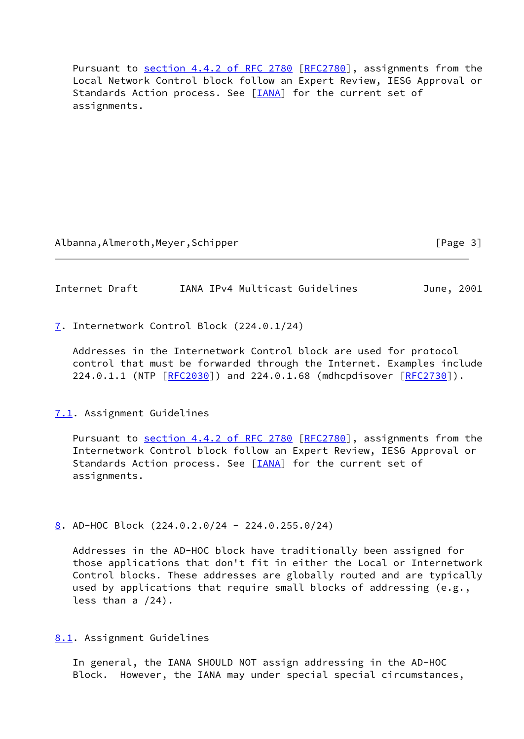Pursuant to section [4.4.2 of RFC 2780](https://datatracker.ietf.org/doc/pdf/rfc2780#section-4.4.2) [[RFC2780](https://datatracker.ietf.org/doc/pdf/rfc2780)], assignments from the Local Network Control block follow an Expert Review, IESG Approval or Standards Action process. See [[IANA\]](#page-8-0) for the current set of assignments.

Albanna,Almeroth,Meyer,Schipper [Page 3]

Internet Draft IANA IPv4 Multicast Guidelines June, 2001

<span id="page-3-0"></span>[7](#page-3-0). Internetwork Control Block (224.0.1/24)

 Addresses in the Internetwork Control block are used for protocol control that must be forwarded through the Internet. Examples include 224.0.1.1 (NTP [\[RFC2030](https://datatracker.ietf.org/doc/pdf/rfc2030)]) and 224.0.1.68 (mdhcpdisover [\[RFC2730](https://datatracker.ietf.org/doc/pdf/rfc2730)]).

## <span id="page-3-1"></span>[7.1](#page-3-1). Assignment Guidelines

Pursuant to section [4.4.2 of RFC 2780](https://datatracker.ietf.org/doc/pdf/rfc2780#section-4.4.2) [[RFC2780](https://datatracker.ietf.org/doc/pdf/rfc2780)], assignments from the Internetwork Control block follow an Expert Review, IESG Approval or Standards Action process. See [[IANA\]](#page-8-0) for the current set of assignments.

<span id="page-3-2"></span>[8](#page-3-2). AD-HOC Block (224.0.2.0/24 - 224.0.255.0/24)

 Addresses in the AD-HOC block have traditionally been assigned for those applications that don't fit in either the Local or Internetwork Control blocks. These addresses are globally routed and are typically used by applications that require small blocks of addressing (e.g., less than a /24).

<span id="page-3-3"></span>[8.1](#page-3-3). Assignment Guidelines

 In general, the IANA SHOULD NOT assign addressing in the AD-HOC Block. However, the IANA may under special special circumstances,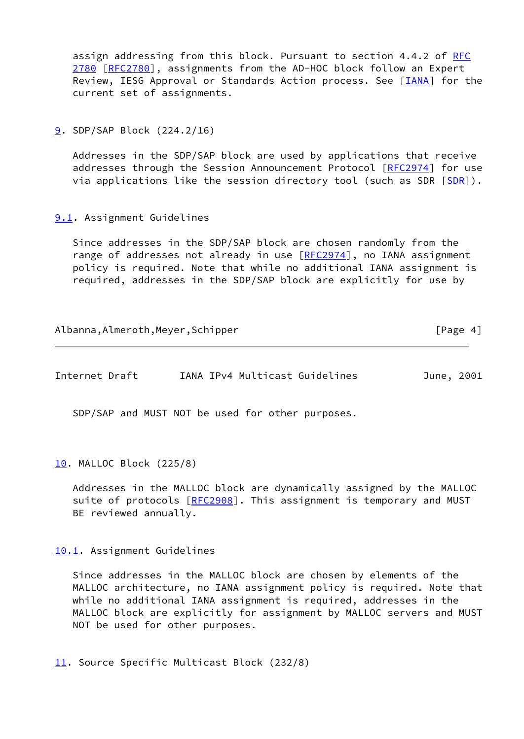assign addressing from this block. Pursuant to section 4.4.2 of [RFC](https://datatracker.ietf.org/doc/pdf/rfc2780) [2780](https://datatracker.ietf.org/doc/pdf/rfc2780) [\[RFC2780](https://datatracker.ietf.org/doc/pdf/rfc2780)], assignments from the AD-HOC block follow an Expert Review, IESG Approval or Standards Action process. See [\[IANA](#page-8-0)] for the current set of assignments.

<span id="page-4-0"></span>[9](#page-4-0). SDP/SAP Block (224.2/16)

 Addresses in the SDP/SAP block are used by applications that receive addresses through the Session Announcement Protocol [\[RFC2974](https://datatracker.ietf.org/doc/pdf/rfc2974)] for use via applications like the session directory tool (such as [SDR](#page-9-0)  $[SDR]$ ).

<span id="page-4-1"></span>[9.1](#page-4-1). Assignment Guidelines

 Since addresses in the SDP/SAP block are chosen randomly from the range of addresses not already in use [[RFC2974](https://datatracker.ietf.org/doc/pdf/rfc2974)], no IANA assignment policy is required. Note that while no additional IANA assignment is required, addresses in the SDP/SAP block are explicitly for use by

| Albanna, Almeroth, Meyer, Schipper | [Page 4] |
|------------------------------------|----------|
|                                    |          |

| Internet Draft |  |  | IANA IPv4 Multicast Guidelines | June, 2001 |  |
|----------------|--|--|--------------------------------|------------|--|
|----------------|--|--|--------------------------------|------------|--|

SDP/SAP and MUST NOT be used for other purposes.

<span id="page-4-2"></span>[10.](#page-4-2) MALLOC Block (225/8)

 Addresses in the MALLOC block are dynamically assigned by the MALLOC suite of protocols [[RFC2908\]](https://datatracker.ietf.org/doc/pdf/rfc2908). This assignment is temporary and MUST BE reviewed annually.

#### <span id="page-4-3"></span>[10.1](#page-4-3). Assignment Guidelines

 Since addresses in the MALLOC block are chosen by elements of the MALLOC architecture, no IANA assignment policy is required. Note that while no additional IANA assignment is required, addresses in the MALLOC block are explicitly for assignment by MALLOC servers and MUST NOT be used for other purposes.

<span id="page-4-4"></span>[11.](#page-4-4) Source Specific Multicast Block (232/8)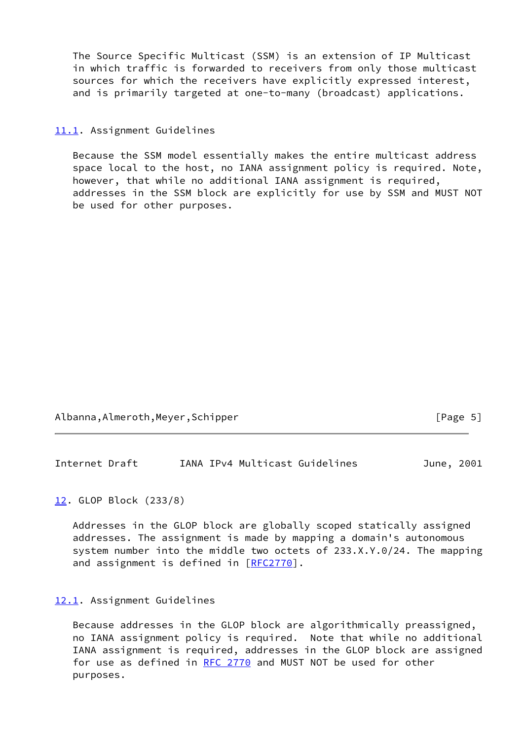The Source Specific Multicast (SSM) is an extension of IP Multicast in which traffic is forwarded to receivers from only those multicast sources for which the receivers have explicitly expressed interest, and is primarily targeted at one-to-many (broadcast) applications.

#### <span id="page-5-0"></span>[11.1](#page-5-0). Assignment Guidelines

 Because the SSM model essentially makes the entire multicast address space local to the host, no IANA assignment policy is required. Note, however, that while no additional IANA assignment is required, addresses in the SSM block are explicitly for use by SSM and MUST NOT be used for other purposes.

Albanna,Almeroth,Meyer,Schipper [Page 5]

Internet Draft IANA IPv4 Multicast Guidelines June, 2001

<span id="page-5-1"></span>[12.](#page-5-1) GLOP Block (233/8)

 Addresses in the GLOP block are globally scoped statically assigned addresses. The assignment is made by mapping a domain's autonomous system number into the middle two octets of 233.X.Y.0/24. The mapping and assignment is defined in [\[RFC2770](https://datatracker.ietf.org/doc/pdf/rfc2770)].

#### <span id="page-5-2"></span>[12.1](#page-5-2). Assignment Guidelines

 Because addresses in the GLOP block are algorithmically preassigned, no IANA assignment policy is required. Note that while no additional IANA assignment is required, addresses in the GLOP block are assigned for use as defined in [RFC 2770](https://datatracker.ietf.org/doc/pdf/rfc2770) and MUST NOT be used for other purposes.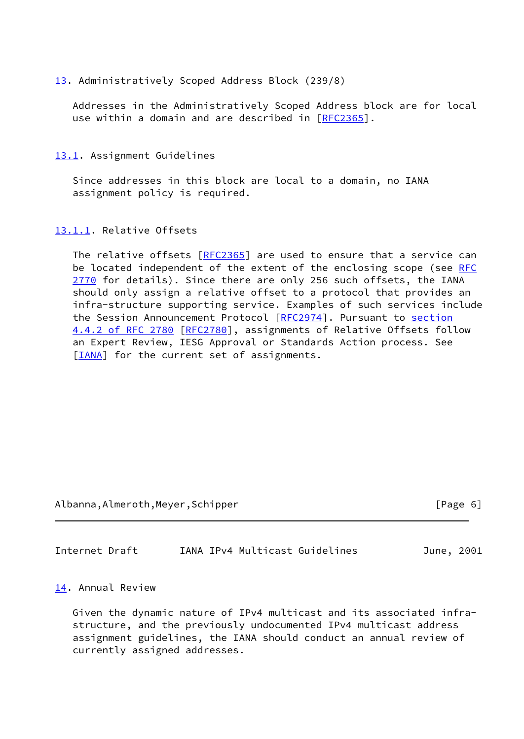#### <span id="page-6-0"></span>[13.](#page-6-0) Administratively Scoped Address Block (239/8)

 Addresses in the Administratively Scoped Address block are for local use within a domain and are described in [\[RFC2365](https://datatracker.ietf.org/doc/pdf/rfc2365)].

#### <span id="page-6-1"></span>[13.1](#page-6-1). Assignment Guidelines

 Since addresses in this block are local to a domain, no IANA assignment policy is required.

#### <span id="page-6-2"></span>[13.1.1](#page-6-2). Relative Offsets

The relative offsets [\[RFC2365](https://datatracker.ietf.org/doc/pdf/rfc2365)] are used to ensure that a service can be located independent of the extent of the enclosing scope (see [RFC](https://datatracker.ietf.org/doc/pdf/rfc2770) [2770](https://datatracker.ietf.org/doc/pdf/rfc2770) for details). Since there are only 256 such offsets, the IANA should only assign a relative offset to a protocol that provides an infra-structure supporting service. Examples of such services include the Session Announcement Protocol [[RFC2974](https://datatracker.ietf.org/doc/pdf/rfc2974)]. Pursuant to [section](https://datatracker.ietf.org/doc/pdf/rfc2780#section-4.4.2) [4.4.2 of RFC 2780](https://datatracker.ietf.org/doc/pdf/rfc2780#section-4.4.2) [[RFC2780](https://datatracker.ietf.org/doc/pdf/rfc2780)], assignments of Relative Offsets follow an Expert Review, IESG Approval or Standards Action process. See [\[IANA](#page-8-0)] for the current set of assignments.

Albanna,Almeroth,Meyer,Schipper [Page 6]

Internet Draft IANA IPv4 Multicast Guidelines June, 2001

#### <span id="page-6-3"></span>[14.](#page-6-3) Annual Review

 Given the dynamic nature of IPv4 multicast and its associated infra structure, and the previously undocumented IPv4 multicast address assignment guidelines, the IANA should conduct an annual review of currently assigned addresses.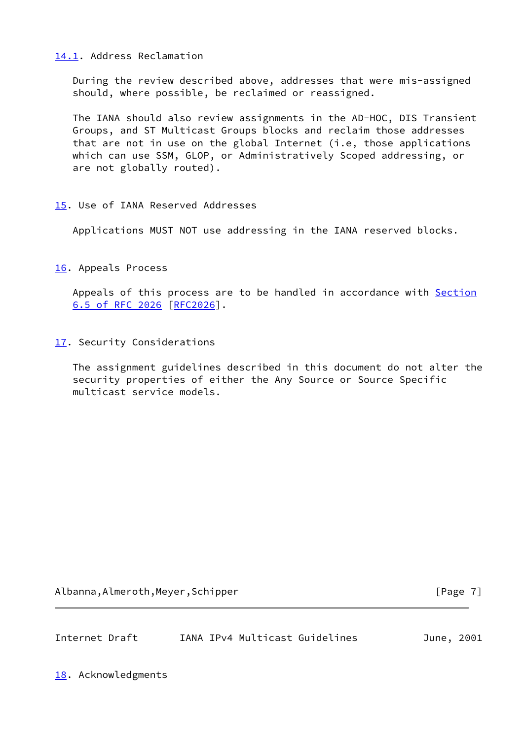## <span id="page-7-0"></span>[14.1](#page-7-0). Address Reclamation

 During the review described above, addresses that were mis-assigned should, where possible, be reclaimed or reassigned.

 The IANA should also review assignments in the AD-HOC, DIS Transient Groups, and ST Multicast Groups blocks and reclaim those addresses that are not in use on the global Internet (i.e, those applications which can use SSM, GLOP, or Administratively Scoped addressing, or are not globally routed).

## <span id="page-7-1"></span>[15.](#page-7-1) Use of IANA Reserved Addresses

Applications MUST NOT use addressing in the IANA reserved blocks.

<span id="page-7-2"></span>[16.](#page-7-2) Appeals Process

Appeals of this process are to be handled in accordance with [Section](https://datatracker.ietf.org/doc/pdf/rfc2026#section-6.5) [6.5 of RFC 2026](https://datatracker.ietf.org/doc/pdf/rfc2026#section-6.5) [\[RFC2026](https://datatracker.ietf.org/doc/pdf/rfc2026)].

<span id="page-7-3"></span>[17.](#page-7-3) Security Considerations

 The assignment guidelines described in this document do not alter the security properties of either the Any Source or Source Specific multicast service models.

Albanna,Almeroth,Meyer,Schipper [Page 7]

| Internet Draft |  | IANA IPv4 Multicast Guidelines | June, 2001 |  |
|----------------|--|--------------------------------|------------|--|
|                |  |                                |            |  |

<span id="page-7-4"></span>[18.](#page-7-4) Acknowledgments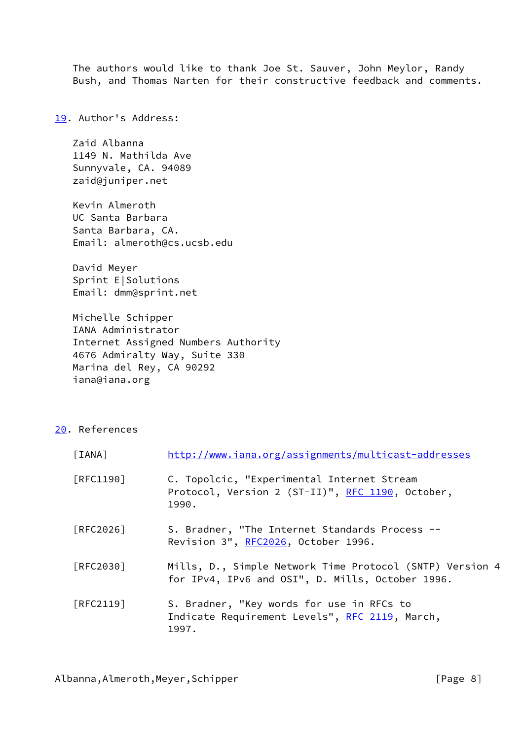The authors would like to thank Joe St. Sauver, John Meylor, Randy Bush, and Thomas Narten for their constructive feedback and comments.

<span id="page-8-1"></span>[19.](#page-8-1) Author's Address:

 Zaid Albanna 1149 N. Mathilda Ave Sunnyvale, CA. 94089 zaid@juniper.net

 Kevin Almeroth UC Santa Barbara Santa Barbara, CA. Email: almeroth@cs.ucsb.edu

 David Meyer Sprint E|Solutions Email: dmm@sprint.net

 Michelle Schipper IANA Administrator Internet Assigned Numbers Authority 4676 Admiralty Way, Suite 330 Marina del Rey, CA 90292 iana@iana.org

<span id="page-8-2"></span>[20.](#page-8-2) References

<span id="page-8-0"></span>

| [IANA]    | http://www.iana.org/assignments/multicast-addresses                                                          |
|-----------|--------------------------------------------------------------------------------------------------------------|
| [RFC1190] | C. Topolcic, "Experimental Internet Stream<br>Protocol, Version 2 (ST-II)", RFC 1190, October,<br>1990.      |
| [RFC2026] | S. Bradner, "The Internet Standards Process --<br>Revision 3", RFC2026, October 1996.                        |
| FRFC20301 | Mills, D., Simple Network Time Protocol (SNTP) Version 4<br>for IPv4, IPv6 and OSI", D. Mills, October 1996. |
| [RFC2119] | S. Bradner, "Key words for use in RFCs to<br>Indicate Requirement Levels", RFC 2119, March,<br>1997.         |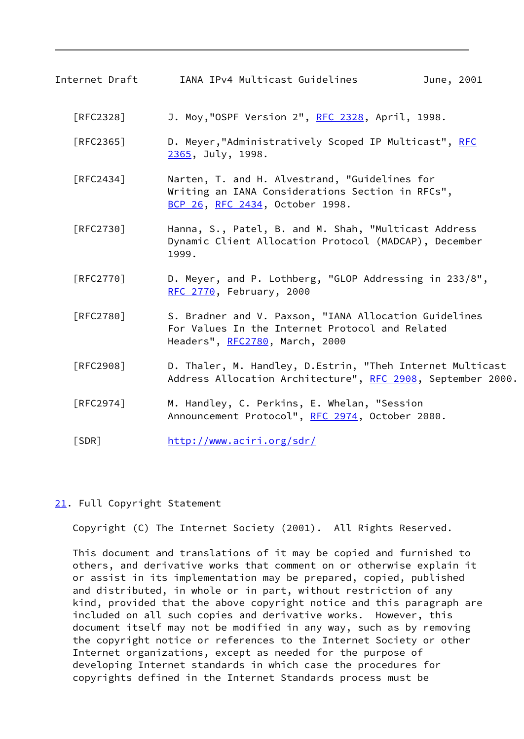Internet Draft IANA IPv4 Multicast Guidelines June, 2001 [RFC2328] J. Moy,"OSPF Version 2", <u>RFC 2328</u>, April, 1998. [RFC2365] D. Meyer,"Administratively Scoped IP Multicast", [RFC](https://datatracker.ietf.org/doc/pdf/rfc2365) [2365](https://datatracker.ietf.org/doc/pdf/rfc2365), July, 1998. [RFC2434] Narten, T. and H. Alvestrand, "Guidelines for Writing an IANA Considerations Section in RFCs", [BCP 26](https://datatracker.ietf.org/doc/pdf/bcp26), [RFC 2434](https://datatracker.ietf.org/doc/pdf/rfc2434), October 1998. [RFC2730] Hanna, S., Patel, B. and M. Shah, "Multicast Address Dynamic Client Allocation Protocol (MADCAP), December 1999. [RFC2770] D. Meyer, and P. Lothberg, "GLOP Addressing in 233/8", [RFC 2770](https://datatracker.ietf.org/doc/pdf/rfc2770), February, 2000 [RFC2780] S. Bradner and V. Paxson, "IANA Allocation Guidelines For Values In the Internet Protocol and Related Headers", [RFC2780](https://datatracker.ietf.org/doc/pdf/rfc2780), March, 2000 [RFC2908] D. Thaler, M. Handley, D.Estrin, "Theh Internet Multicast Address Allocation Architecture", [RFC 2908](https://datatracker.ietf.org/doc/pdf/rfc2908), September 2000. [RFC2974] M. Handley, C. Perkins, E. Whelan, "Session Announcement Protocol", [RFC 2974](https://datatracker.ietf.org/doc/pdf/rfc2974), October 2000. [SDR] <http://www.aciri.org/sdr/>

## <span id="page-9-1"></span><span id="page-9-0"></span>[21.](#page-9-1) Full Copyright Statement

Copyright (C) The Internet Society (2001). All Rights Reserved.

 This document and translations of it may be copied and furnished to others, and derivative works that comment on or otherwise explain it or assist in its implementation may be prepared, copied, published and distributed, in whole or in part, without restriction of any kind, provided that the above copyright notice and this paragraph are included on all such copies and derivative works. However, this document itself may not be modified in any way, such as by removing the copyright notice or references to the Internet Society or other Internet organizations, except as needed for the purpose of developing Internet standards in which case the procedures for copyrights defined in the Internet Standards process must be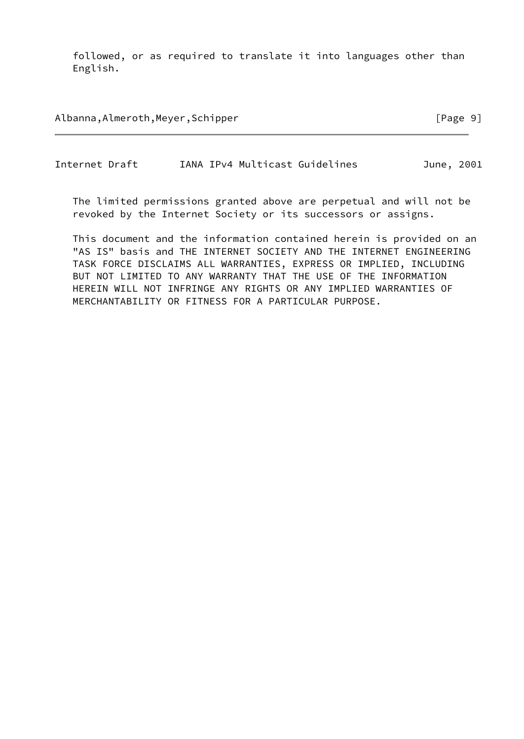followed, or as required to translate it into languages other than English.

Albanna,Almeroth,Meyer,Schipper [Page 9]

Internet Draft IANA IPv4 Multicast Guidelines June, 2001

 The limited permissions granted above are perpetual and will not be revoked by the Internet Society or its successors or assigns.

 This document and the information contained herein is provided on an "AS IS" basis and THE INTERNET SOCIETY AND THE INTERNET ENGINEERING TASK FORCE DISCLAIMS ALL WARRANTIES, EXPRESS OR IMPLIED, INCLUDING BUT NOT LIMITED TO ANY WARRANTY THAT THE USE OF THE INFORMATION HEREIN WILL NOT INFRINGE ANY RIGHTS OR ANY IMPLIED WARRANTIES OF MERCHANTABILITY OR FITNESS FOR A PARTICULAR PURPOSE.